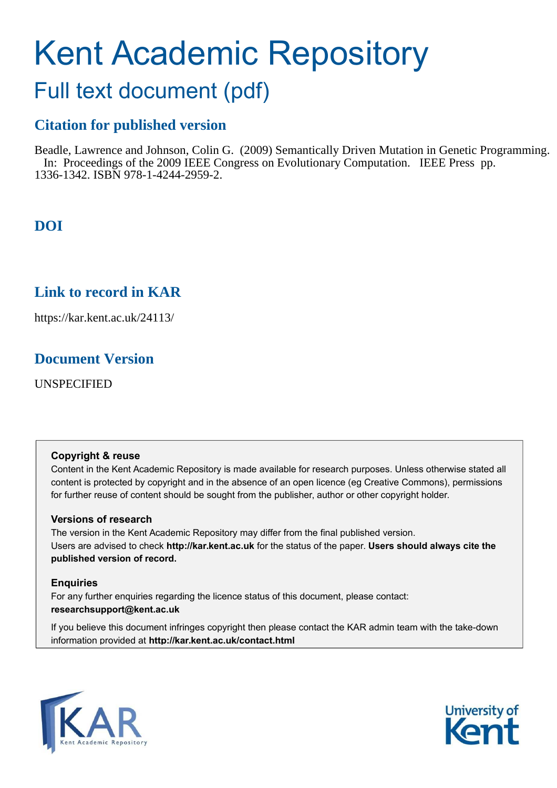# Kent Academic Repository

# Full text document (pdf)

# **Citation for published version**

Beadle, Lawrence and Johnson, Colin G. (2009) Semantically Driven Mutation in Genetic Programming. In: Proceedings of the 2009 IEEE Congress on Evolutionary Computation. IEEE Press pp. 1336-1342. ISBN 978-1-4244-2959-2.

## **DOI**

### **Link to record in KAR**

https://kar.kent.ac.uk/24113/

### **Document Version**

UNSPECIFIED

#### **Copyright & reuse**

Content in the Kent Academic Repository is made available for research purposes. Unless otherwise stated all content is protected by copyright and in the absence of an open licence (eg Creative Commons), permissions for further reuse of content should be sought from the publisher, author or other copyright holder.

#### **Versions of research**

The version in the Kent Academic Repository may differ from the final published version. Users are advised to check **http://kar.kent.ac.uk** for the status of the paper. **Users should always cite the published version of record.**

#### **Enquiries**

For any further enquiries regarding the licence status of this document, please contact: **researchsupport@kent.ac.uk**

If you believe this document infringes copyright then please contact the KAR admin team with the take-down information provided at **http://kar.kent.ac.uk/contact.html**



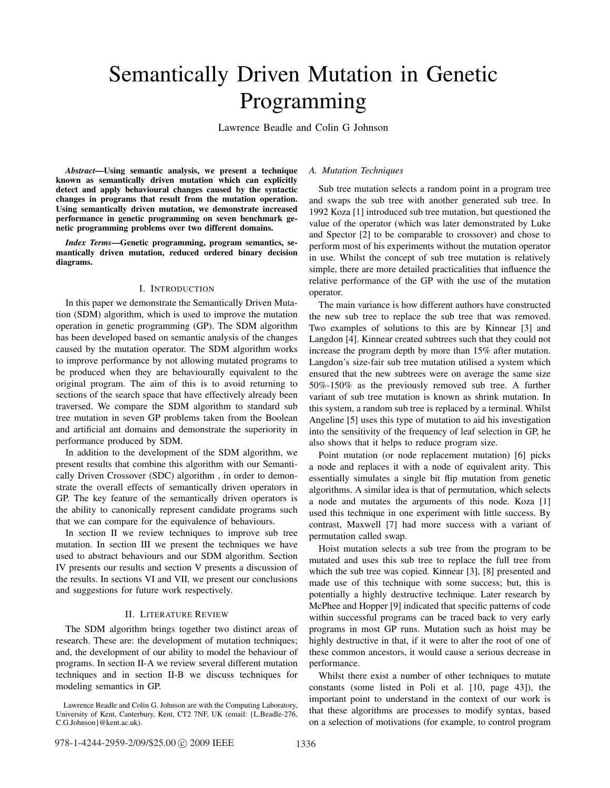# Semantically Driven Mutation in Genetic Programming

Lawrence Beadle and Colin G Johnson

*Abstract*—Using semantic analysis, we present a technique known as semantically driven mutation which can explicitly detect and apply behavioural changes caused by the syntactic changes in programs that result from the mutation operation. Using semantically driven mutation, we demonstrate increased performance in genetic programming on seven benchmark genetic programming problems over two different domains.

*Index Terms*—Genetic programming, program semantics, semantically driven mutation, reduced ordered binary decision diagrams.

#### I. INTRODUCTION

In this paper we demonstrate the Semantically Driven Mutation (SDM) algorithm, which is used to improve the mutation operation in genetic programming (GP). The SDM algorithm has been developed based on semantic analysis of the changes caused by the mutation operator. The SDM algorithm works to improve performance by not allowing mutated programs to be produced when they are behaviourally equivalent to the original program. The aim of this is to avoid returning to sections of the search space that have effectively already been traversed. We compare the SDM algorithm to standard sub tree mutation in seven GP problems taken from the Boolean and artificial ant domains and demonstrate the superiority in performance produced by SDM.

In addition to the development of the SDM algorithm, we present results that combine this algorithm with our Semantically Driven Crossover (SDC) algorithm , in order to demonstrate the overall effects of semantically driven operators in GP. The key feature of the semantically driven operators is the ability to canonically represent candidate programs such that we can compare for the equivalence of behaviours.

In section II we review techniques to improve sub tree mutation. In section III we present the techniques we have used to abstract behaviours and our SDM algorithm. Section IV presents our results and section V presents a discussion of the results. In sections VI and VII, we present our conclusions and suggestions for future work respectively.

#### II. LITERATURE REVIEW

The SDM algorithm brings together two distinct areas of research. These are: the development of mutation techniques; and, the development of our ability to model the behaviour of programs. In section II-A we review several different mutation techniques and in section II-B we discuss techniques for modeling semantics in GP.

#### *A. Mutation Techniques*

Sub tree mutation selects a random point in a program tree and swaps the sub tree with another generated sub tree. In 1992 Koza [1] introduced sub tree mutation, but questioned the value of the operator (which was later demonstrated by Luke and Spector [2] to be comparable to crossover) and chose to perform most of his experiments without the mutation operator in use. Whilst the concept of sub tree mutation is relatively simple, there are more detailed practicalities that influence the relative performance of the GP with the use of the mutation operator.

The main variance is how different authors have constructed the new sub tree to replace the sub tree that was removed. Two examples of solutions to this are by Kinnear [3] and Langdon [4]. Kinnear created subtrees such that they could not increase the program depth by more than 15% after mutation. Langdon's size-fair sub tree mutation utilised a system which ensured that the new subtrees were on average the same size 50%-150% as the previously removed sub tree. A further variant of sub tree mutation is known as shrink mutation. In this system, a random sub tree is replaced by a terminal. Whilst Angeline [5] uses this type of mutation to aid his investigation into the sensitivity of the frequency of leaf selection in GP, he also shows that it helps to reduce program size.

Point mutation (or node replacement mutation) [6] picks a node and replaces it with a node of equivalent arity. This essentially simulates a single bit flip mutation from genetic algorithms. A similar idea is that of permutation, which selects a node and mutates the arguments of this node. Koza [1] used this technique in one experiment with little success. By contrast, Maxwell [7] had more success with a variant of permutation called swap.

Hoist mutation selects a sub tree from the program to be mutated and uses this sub tree to replace the full tree from which the sub tree was copied. Kinnear [3], [8] presented and made use of this technique with some success; but, this is potentially a highly destructive technique. Later research by McPhee and Hopper [9] indicated that specific patterns of code within successful programs can be traced back to very early programs in most GP runs. Mutation such as hoist may be highly destructive in that, if it were to alter the root of one of these common ancestors, it would cause a serious decrease in performance.

Whilst there exist a number of other techniques to mutate constants (some listed in Poli et al. [10, page 43]), the important point to understand in the context of our work is that these algorithms are processes to modify syntax, based on a selection of motivations (for example, to control program

Lawrence Beadle and Colin G. Johnson are with the Computing Laboratory, University of Kent, Canterbury, Kent, CT2 7NF, UK (email: {L.Beadle-276, C.G.Johnson}@kent.ac.uk).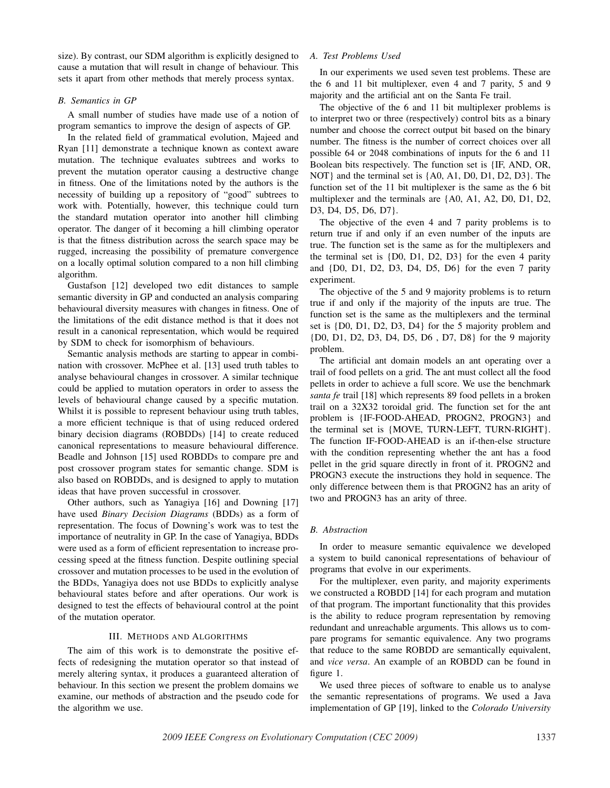size). By contrast, our SDM algorithm is explicitly designed to cause a mutation that will result in change of behaviour. This sets it apart from other methods that merely process syntax.

#### *B. Semantics in GP*

A small number of studies have made use of a notion of program semantics to improve the design of aspects of GP.

In the related field of grammatical evolution, Majeed and Ryan [11] demonstrate a technique known as context aware mutation. The technique evaluates subtrees and works to prevent the mutation operator causing a destructive change in fitness. One of the limitations noted by the authors is the necessity of building up a repository of "good" subtrees to work with. Potentially, however, this technique could turn the standard mutation operator into another hill climbing operator. The danger of it becoming a hill climbing operator is that the fitness distribution across the search space may be rugged, increasing the possibility of premature convergence on a locally optimal solution compared to a non hill climbing algorithm.

Gustafson [12] developed two edit distances to sample semantic diversity in GP and conducted an analysis comparing behavioural diversity measures with changes in fitness. One of the limitations of the edit distance method is that it does not result in a canonical representation, which would be required by SDM to check for isomorphism of behaviours.

Semantic analysis methods are starting to appear in combination with crossover. McPhee et al. [13] used truth tables to analyse behavioural changes in crossover. A similar technique could be applied to mutation operators in order to assess the levels of behavioural change caused by a specific mutation. Whilst it is possible to represent behaviour using truth tables, a more efficient technique is that of using reduced ordered binary decision diagrams (ROBDDs) [14] to create reduced canonical representations to measure behavioural difference. Beadle and Johnson [15] used ROBDDs to compare pre and post crossover program states for semantic change. SDM is also based on ROBDDs, and is designed to apply to mutation ideas that have proven successful in crossover.

Other authors, such as Yanagiya [16] and Downing [17] have used *Binary Decision Diagrams* (BDDs) as a form of representation. The focus of Downing's work was to test the importance of neutrality in GP. In the case of Yanagiya, BDDs were used as a form of efficient representation to increase processing speed at the fitness function. Despite outlining special crossover and mutation processes to be used in the evolution of the BDDs, Yanagiya does not use BDDs to explicitly analyse behavioural states before and after operations. Our work is designed to test the effects of behavioural control at the point of the mutation operator.

#### III. METHODS AND ALGORITHMS

The aim of this work is to demonstrate the positive effects of redesigning the mutation operator so that instead of merely altering syntax, it produces a guaranteed alteration of behaviour. In this section we present the problem domains we examine, our methods of abstraction and the pseudo code for the algorithm we use.

#### *A. Test Problems Used*

In our experiments we used seven test problems. These are the 6 and 11 bit multiplexer, even 4 and 7 parity, 5 and 9 majority and the artificial ant on the Santa Fe trail.

The objective of the 6 and 11 bit multiplexer problems is to interpret two or three (respectively) control bits as a binary number and choose the correct output bit based on the binary number. The fitness is the number of correct choices over all possible 64 or 2048 combinations of inputs for the 6 and 11 Boolean bits respectively. The function set is {IF, AND, OR, NOT} and the terminal set is {A0, A1, D0, D1, D2, D3}. The function set of the 11 bit multiplexer is the same as the 6 bit multiplexer and the terminals are {A0, A1, A2, D0, D1, D2, D3, D4, D5, D6, D7}.

The objective of the even 4 and 7 parity problems is to return true if and only if an even number of the inputs are true. The function set is the same as for the multiplexers and the terminal set is {D0, D1, D2, D3} for the even 4 parity and {D0, D1, D2, D3, D4, D5, D6} for the even 7 parity experiment.

The objective of the 5 and 9 majority problems is to return true if and only if the majority of the inputs are true. The function set is the same as the multiplexers and the terminal set is {D0, D1, D2, D3, D4} for the 5 majority problem and {D0, D1, D2, D3, D4, D5, D6 , D7, D8} for the 9 majority problem.

The artificial ant domain models an ant operating over a trail of food pellets on a grid. The ant must collect all the food pellets in order to achieve a full score. We use the benchmark *santa fe* trail [18] which represents 89 food pellets in a broken trail on a 32X32 toroidal grid. The function set for the ant problem is {IF-FOOD-AHEAD, PROGN2, PROGN3} and the terminal set is {MOVE, TURN-LEFT, TURN-RIGHT}. The function IF-FOOD-AHEAD is an if-then-else structure with the condition representing whether the ant has a food pellet in the grid square directly in front of it. PROGN2 and PROGN3 execute the instructions they hold in sequence. The only difference between them is that PROGN2 has an arity of two and PROGN3 has an arity of three.

#### *B. Abstraction*

In order to measure semantic equivalence we developed a system to build canonical representations of behaviour of programs that evolve in our experiments.

For the multiplexer, even parity, and majority experiments we constructed a ROBDD [14] for each program and mutation of that program. The important functionality that this provides is the ability to reduce program representation by removing redundant and unreachable arguments. This allows us to compare programs for semantic equivalence. Any two programs that reduce to the same ROBDD are semantically equivalent, and *vice versa*. An example of an ROBDD can be found in figure 1.

We used three pieces of software to enable us to analyse the semantic representations of programs. We used a Java implementation of GP [19], linked to the *Colorado University*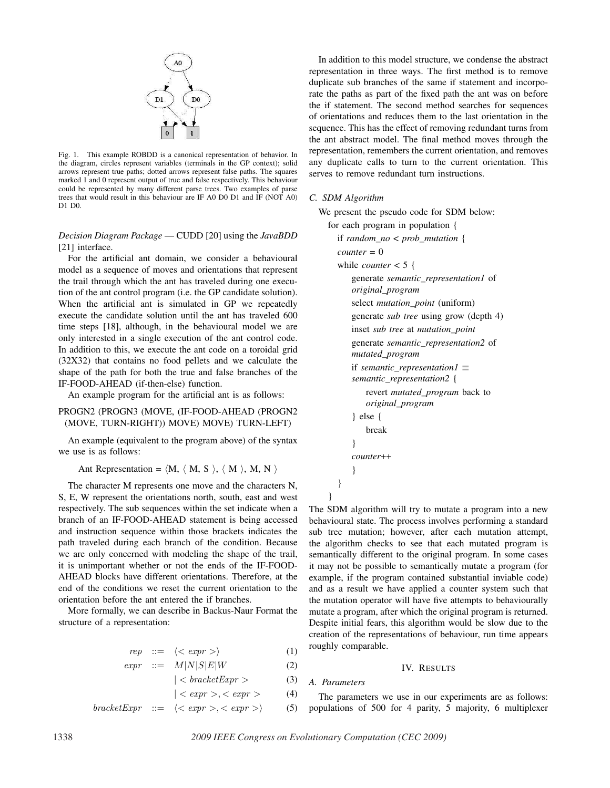

Fig. 1. This example ROBDD is a canonical representation of behavior. In the diagram, circles represent variables (terminals in the GP context); solid arrows represent true paths; dotted arrows represent false paths. The squares marked 1 and 0 represent output of true and false respectively. This behaviour could be represented by many different parse trees. Two examples of parse trees that would result in this behaviour are IF A0 D0 D1 and IF (NOT A0) D1 D0.

*Decision Diagram Package* — CUDD [20] using the *JavaBDD* [21] interface.

For the artificial ant domain, we consider a behavioural model as a sequence of moves and orientations that represent the trail through which the ant has traveled during one execution of the ant control program (i.e. the GP candidate solution). When the artificial ant is simulated in GP we repeatedly execute the candidate solution until the ant has traveled 600 time steps [18], although, in the behavioural model we are only interested in a single execution of the ant control code. In addition to this, we execute the ant code on a toroidal grid (32X32) that contains no food pellets and we calculate the shape of the path for both the true and false branches of the IF-FOOD-AHEAD (if-then-else) function.

An example program for the artificial ant is as follows:

#### PROGN2 (PROGN3 (MOVE, (IF-FOOD-AHEAD (PROGN2 (MOVE, TURN-RIGHT)) MOVE) MOVE) TURN-LEFT)

An example (equivalent to the program above) of the syntax we use is as follows:

Ant Representation =  $\langle M, \langle M, S \rangle, \langle M \rangle, M, N \rangle$ 

The character M represents one move and the characters N, S, E, W represent the orientations north, south, east and west respectively. The sub sequences within the set indicate when a branch of an IF-FOOD-AHEAD statement is being accessed and instruction sequence within those brackets indicates the path traveled during each branch of the condition. Because we are only concerned with modeling the shape of the trail, it is unimportant whether or not the ends of the IF-FOOD-AHEAD blocks have different orientations. Therefore, at the end of the conditions we reset the current orientation to the orientation before the ant entered the if branches.

More formally, we can describe in Backus-Naur Format the structure of a representation:

$$
rep \ ::= \ \langle \langle \text{expr} \rangle \rangle \tag{1}
$$

$$
expr ::= M|N|S|E|W \qquad (2)
$$

$$
|< bracketExpr > \qquad (3)
$$
\n
$$
|< expr > ,lt; expr > \qquad (4)
$$

$$
bracket \text{Expr} \quad ::= \quad \langle \langle \text{expr} \rangle, \langle \text{expr} \rangle \rangle \tag{5}
$$

In addition to this model structure, we condense the abstract representation in three ways. The first method is to remove duplicate sub branches of the same if statement and incorporate the paths as part of the fixed path the ant was on before the if statement. The second method searches for sequences of orientations and reduces them to the last orientation in the sequence. This has the effect of removing redundant turns from the ant abstract model. The final method moves through the representation, remembers the current orientation, and removes any duplicate calls to turn to the current orientation. This serves to remove redundant turn instructions.

#### *C. SDM Algorithm*

We present the pseudo code for SDM below:

```
for each program in population {
if random_no < prob_mutation {
counter = 0
while counter < 5 {
    generate semantic_representation1 of
    original_program
    select mutation_point (uniform)
    generate sub tree using grow (depth 4)
    inset sub tree at mutation_point
    generate semantic_representation2 of
    mutated_program
    if semantic_representation1 ≡
    semantic_representation2 {
       revert mutated_program back to
       original_program
    } else {
       break
    }
    counter++
    }
}
```
The SDM algorithm will try to mutate a program into a new behavioural state. The process involves performing a standard sub tree mutation; however, after each mutation attempt, the algorithm checks to see that each mutated program is semantically different to the original program. In some cases it may not be possible to semantically mutate a program (for example, if the program contained substantial inviable code) and as a result we have applied a counter system such that the mutation operator will have five attempts to behaviourally mutate a program, after which the original program is returned. Despite initial fears, this algorithm would be slow due to the creation of the representations of behaviour, run time appears roughly comparable.

#### IV. RESULTS

#### *A. Parameters*

}

The parameters we use in our experiments are as follows: populations of 500 for 4 parity, 5 majority, 6 multiplexer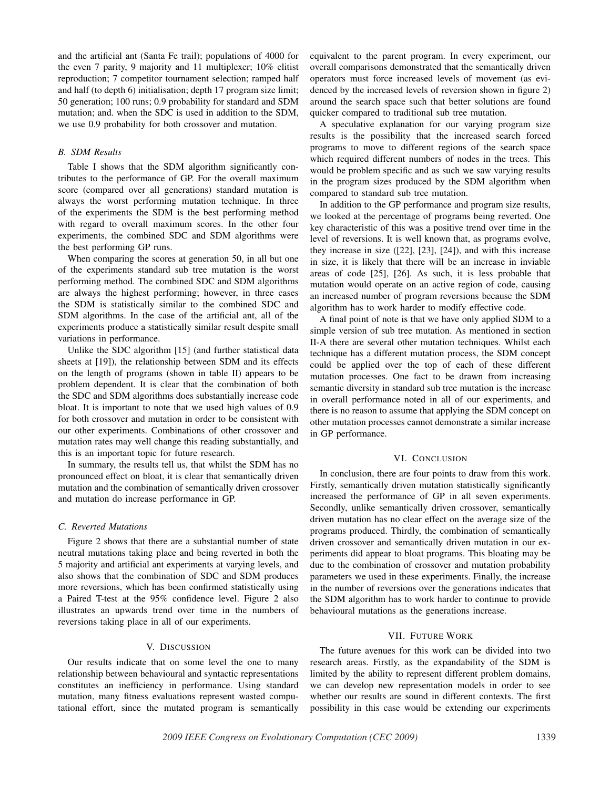and the artificial ant (Santa Fe trail); populations of 4000 for the even 7 parity, 9 majority and 11 multiplexer; 10% elitist reproduction; 7 competitor tournament selection; ramped half and half (to depth 6) initialisation; depth 17 program size limit; 50 generation; 100 runs; 0.9 probability for standard and SDM mutation; and. when the SDC is used in addition to the SDM, we use 0.9 probability for both crossover and mutation.

#### *B. SDM Results*

Table I shows that the SDM algorithm significantly contributes to the performance of GP. For the overall maximum score (compared over all generations) standard mutation is always the worst performing mutation technique. In three of the experiments the SDM is the best performing method with regard to overall maximum scores. In the other four experiments, the combined SDC and SDM algorithms were the best performing GP runs.

When comparing the scores at generation 50, in all but one of the experiments standard sub tree mutation is the worst performing method. The combined SDC and SDM algorithms are always the highest performing; however, in three cases the SDM is statistically similar to the combined SDC and SDM algorithms. In the case of the artificial ant, all of the experiments produce a statistically similar result despite small variations in performance.

Unlike the SDC algorithm [15] (and further statistical data sheets at [19]), the relationship between SDM and its effects on the length of programs (shown in table II) appears to be problem dependent. It is clear that the combination of both the SDC and SDM algorithms does substantially increase code bloat. It is important to note that we used high values of 0.9 for both crossover and mutation in order to be consistent with our other experiments. Combinations of other crossover and mutation rates may well change this reading substantially, and this is an important topic for future research.

In summary, the results tell us, that whilst the SDM has no pronounced effect on bloat, it is clear that semantically driven mutation and the combination of semantically driven crossover and mutation do increase performance in GP.

#### *C. Reverted Mutations*

Figure 2 shows that there are a substantial number of state neutral mutations taking place and being reverted in both the 5 majority and artificial ant experiments at varying levels, and also shows that the combination of SDC and SDM produces more reversions, which has been confirmed statistically using a Paired T-test at the 95% confidence level. Figure 2 also illustrates an upwards trend over time in the numbers of reversions taking place in all of our experiments.

#### V. DISCUSSION

Our results indicate that on some level the one to many relationship between behavioural and syntactic representations constitutes an inefficiency in performance. Using standard mutation, many fitness evaluations represent wasted computational effort, since the mutated program is semantically equivalent to the parent program. In every experiment, our overall comparisons demonstrated that the semantically driven operators must force increased levels of movement (as evidenced by the increased levels of reversion shown in figure 2) around the search space such that better solutions are found quicker compared to traditional sub tree mutation.

A speculative explanation for our varying program size results is the possibility that the increased search forced programs to move to different regions of the search space which required different numbers of nodes in the trees. This would be problem specific and as such we saw varying results in the program sizes produced by the SDM algorithm when compared to standard sub tree mutation.

In addition to the GP performance and program size results, we looked at the percentage of programs being reverted. One key characteristic of this was a positive trend over time in the level of reversions. It is well known that, as programs evolve, they increase in size ([22], [23], [24]), and with this increase in size, it is likely that there will be an increase in inviable areas of code [25], [26]. As such, it is less probable that mutation would operate on an active region of code, causing an increased number of program reversions because the SDM algorithm has to work harder to modify effective code.

A final point of note is that we have only applied SDM to a simple version of sub tree mutation. As mentioned in section II-A there are several other mutation techniques. Whilst each technique has a different mutation process, the SDM concept could be applied over the top of each of these different mutation processes. One fact to be drawn from increasing semantic diversity in standard sub tree mutation is the increase in overall performance noted in all of our experiments, and there is no reason to assume that applying the SDM concept on other mutation processes cannot demonstrate a similar increase in GP performance.

#### VI. CONCLUSION

In conclusion, there are four points to draw from this work. Firstly, semantically driven mutation statistically significantly increased the performance of GP in all seven experiments. Secondly, unlike semantically driven crossover, semantically driven mutation has no clear effect on the average size of the programs produced. Thirdly, the combination of semantically driven crossover and semantically driven mutation in our experiments did appear to bloat programs. This bloating may be due to the combination of crossover and mutation probability parameters we used in these experiments. Finally, the increase in the number of reversions over the generations indicates that the SDM algorithm has to work harder to continue to provide behavioural mutations as the generations increase.

#### VII. FUTURE WORK

The future avenues for this work can be divided into two research areas. Firstly, as the expandability of the SDM is limited by the ability to represent different problem domains, we can develop new representation models in order to see whether our results are sound in different contexts. The first possibility in this case would be extending our experiments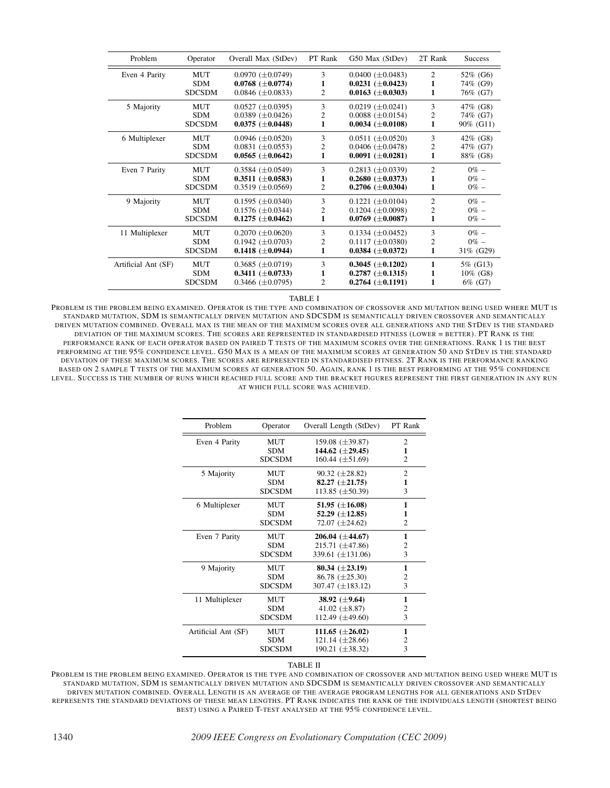| Problem             | Operator      | Overall Max (StDev)       | PT Rank        | G50 Max (StDev)           | 2T Rank        | <b>Success</b> |
|---------------------|---------------|---------------------------|----------------|---------------------------|----------------|----------------|
| Even 4 Parity       | <b>MUT</b>    | $0.0970~(\pm 0.0749)$     | 3              | $0.0400 \ (\pm 0.0483)$   | 2              | 52% (G6)       |
|                     | <b>SDM</b>    | $0.0768~(\pm 0.0774)$     | 1              | $0.0231 \ (\pm 0.0423)$   | 1              | 74% (G9)       |
|                     | <b>SDCSDM</b> | $0.0846~(\pm 0.0833)$     | $\overline{c}$ | $0.0163~(\pm 0.0303)$     | 1              | 76% (G7)       |
| 5 Majority          | MUT           | $0.0527 \ (\pm 0.0395)$   | 3              | $0.0219 \ (\pm 0.0241)$   | 3              | 47% (G8)       |
|                     | <b>SDM</b>    | $0.0389 \ (\pm 0.0426)$   | 2              | $0.0088 \ (\pm 0.0154)$   | 2              | 74% (G7)       |
|                     | <b>SDCSDM</b> | $0.0375 \ (\pm 0.0448)$   | 1              | $0.0034~(\pm 0.0108)$     | 1              | 90% (G11)      |
| 6 Multiplexer       | MUT           | $0.0946 \ (\pm 0.0520)$   | 3              | $0.0511 \ (\pm 0.0520)$   | 3              | 42% (G8)       |
|                     | <b>SDM</b>    | $0.0831 \ (\pm 0.0553)$   | $\overline{c}$ | $0.0406$ ( $\pm 0.0478$ ) | 2              | 47% (G7)       |
|                     | <b>SDCSDM</b> | $0.0565 \ (\pm 0.0642)$   | 1              | 0.0091 ( $\pm$ 0.0281)    | 1              | 88% (G8)       |
| Even 7 Parity       | <b>MUT</b>    | $0.3584 \ (\pm 0.0549)$   | 3              | $0.2813 \ (\pm 0.0339)$   | $\overline{c}$ | $0\% -$        |
|                     | <b>SDM</b>    | 0.3511 $(\pm 0.0583)$     | 1              | $0.2680~(\pm 0.0373)$     | 1              | $0\% -$        |
|                     | <b>SDCSDM</b> | $0.3519 \ (\pm 0.0569)$   | 2              | $0.2706 \ (\pm 0.0304)$   | 1              | $0\% -$        |
| 9 Majority          | MUT           | $0.1595 \ (\pm 0.0340)$   | 3              | $0.1221 \ (\pm 0.0104)$   | $\overline{c}$ | $0\% -$        |
|                     | <b>SDM</b>    | $0.1576 \ (\pm 0.0344)$   | 2              | $0.1204 \ (\pm 0.0098)$   | 2              | $0\% -$        |
|                     | <b>SDCSDM</b> | $0.1275 \ (\pm 0.0462)$   | 1              | $0.0769~(\pm 0.0087)$     | 1              | $0\% -$        |
| 11 Multiplexer      | MUT           | $0.2070~(\pm 0.0620)$     | 3              | $0.1334 \ (\pm 0.0452)$   | 3              | $0\% -$        |
|                     | <b>SDM</b>    | $0.1942 \ (\pm 0.0703)$   | 2              | $0.1117 \ (\pm 0.0380)$   | 2              | $0\% -$        |
|                     | <b>SDCSDM</b> | 0.1418 $(\pm 0.0944)$     | 1              | $0.0384 \ (\pm 0.0372)$   | $\mathbf{1}$   | 31% (G29)      |
| Artificial Ant (SF) | MUT           | $0.3685 \ (\pm 0.0719)$   | 3              | $0.3045 \ (\pm 0.1202)$   | 1              | 5% (G13)       |
|                     | <b>SDM</b>    | 0.3411 $(\pm 0.0733)$     | 1              | $0.2787 \ (\pm 0.1315)$   | 1              | $10\%$ (G8)    |
|                     | <b>SDCSDM</b> | $0.3466$ ( $\pm 0.0795$ ) | 2              | $0.2764 \ (\pm 0.1191)$   | 1              | 6% (G7)        |

TABLE I

PROBLEM IS THE PROBLEM BEING EXAMINED. OPERATOR IS THE TYPE AND COMBINATION OF CROSSOVER AND MUTATION BEING USED WHERE MUT IS STANDARD MUTATION, SDM IS SEMANTICALLY DRIVEN MUTATION AND SDCSDM IS SEMANTICALLY DRIVEN CROSSOVER AND SEMANTICALLY DRIVEN MUTATION COMBINED. OVERALL MAX IS THE MEAN OF THE MAXIMUM SCORES OVER ALL GENERATIONS AND THE STDEV IS THE STANDARD DEVIATION OF THE MAXIMUM SCORES. THE SCORES ARE REPRESENTED IN STANDARDISED FITNESS (LOWER = BETTER). PT RANK IS THE PERFORMANCE RANK OF EACH OPERATOR BASED ON PAIRED T TESTS OF THE MAXIMUM SCORES OVER THE GENERATIONS. RANK 1 IS THE BEST PERFORMING AT THE 95% CONFIDENCE LEVEL. G50 MAX IS A MEAN OF THE MAXIMUM SCORES AT GENERATION 50 AND STDEV IS THE STANDARD DEVIATION OF THESE MAXIMUM SCORES. THE SCORES ARE REPRESENTED IN STANDARDISED FITNESS. 2T RANK IS THE PERFORMANCE RANKING BASED ON 2 SAMPLE T TESTS OF THE MAXIMUM SCORES AT GENERATION 50. AGAIN, RANK 1 IS THE BEST PERFORMING AT THE 95% CONFIDENCE LEVEL. SUCCESS IS THE NUMBER OF RUNS WHICH REACHED FULL SCORE AND THE BRACKET FIGURES REPRESENT THE FIRST GENERATION IN ANY RUN AT WHICH FULL SCORE WAS ACHIEVED.

| Problem             | Operator      | Overall Length (StDev) | PT Rank        |
|---------------------|---------------|------------------------|----------------|
| Even 4 Parity       | MUT           | 159.08 $(\pm 39.87)$   | 2              |
|                     | <b>SDM</b>    | 144.62 $(\pm 29.45)$   | 1              |
|                     | <b>SDCSDM</b> | $160.44 \ (\pm 51.69)$ | $\overline{c}$ |
| 5 Majority          | MUT           | $90.32 \ (\pm 28.82)$  | $\overline{c}$ |
|                     | <b>SDM</b>    | 82.27 $(\pm 21.75)$    | 1              |
|                     | <b>SDCSDM</b> | 113.85 $(\pm 50.39)$   | 3              |
| 6 Multiplexer       | MUT           | 51.95 $(\pm 16.08)$    | 1              |
|                     | <b>SDM</b>    | 52.29 $(\pm 12.85)$    | 1              |
|                     | <b>SDCSDM</b> | 72.07 $(\pm 24.62)$    | $\overline{c}$ |
| Even 7 Parity       | <b>MUT</b>    | 206.04 $(\pm 44.67)$   | 1              |
|                     | <b>SDM</b>    | $215.71 \ (\pm 47.86)$ | 2              |
|                     | <b>SDCSDM</b> | 339.61 $(\pm 131.06)$  | 3              |
| 9 Majority          | <b>MUT</b>    | 80.34 $(\pm 23.19)$    | 1              |
|                     | <b>SDM</b>    | $86.78 \ (\pm 25.30)$  | 2              |
|                     | <b>SDCSDM</b> | 307.47 $(\pm 183.12)$  | 3              |
| 11 Multiplexer      | MUT           | 38.92 $(\pm 9.64)$     | 1              |
|                     | <b>SDM</b>    | 41.02 $(\pm 8.87)$     | 2              |
|                     | <b>SDCSDM</b> | 112.49 $(\pm 49.60)$   | 3              |
| Artificial Ant (SF) | <b>MUT</b>    | 111.65 $(\pm 26.02)$   | 1              |
|                     | <b>SDM</b>    | $121.14 \ (\pm 28.66)$ | 2              |
|                     | <b>SDCSDM</b> | 190.21 $(\pm 38.32)$   | 3              |

#### TABLE II

PROBLEM IS THE PROBLEM BEING EXAMINED. OPERATOR IS THE TYPE AND COMBINATION OF CROSSOVER AND MUTATION BEING USED WHERE MUT IS STANDARD MUTATION, SDM IS SEMANTICALLY DRIVEN MUTATION AND SDCSDM IS SEMANTICALLY DRIVEN CROSSOVER AND SEMANTICALLY DRIVEN MUTATION COMBINED. OVERALL LENGTH IS AN AVERAGE OF THE AVERAGE PROGRAM LENGTHS FOR ALL GENERATIONS AND STDEV REPRESENTS THE STANDARD DEVIATIONS OF THESE MEAN LENGTHS. PT RANK INDICATES THE RANK OF THE INDIVIDUALS LENGTH (SHORTEST BEING BEST) USING A PAIRED T-TEST ANALYSED AT THE 95% CONFIDENCE LEVEL.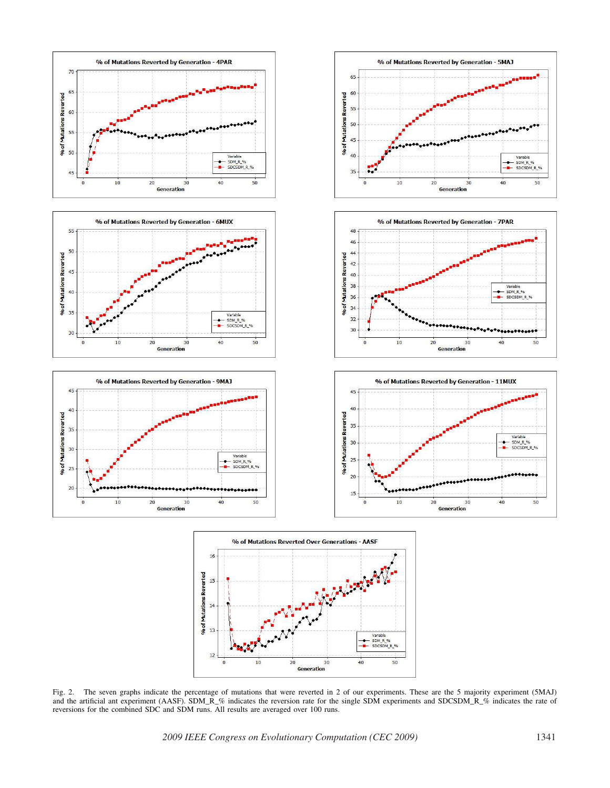



Fig. 2. The seven graphs indicate the percentage of mutations that were reverted in 2 of our experiments. These are the 5 majority experiment (5MAJ) and the artificial ant experiment (AASF). SDM\_R\_% indicates the reversion rate for the single SDM experiments and SDCSDM\_R\_% indicates the rate of reversions for the combined SDC and SDM runs. All results are averaged over 100 runs.